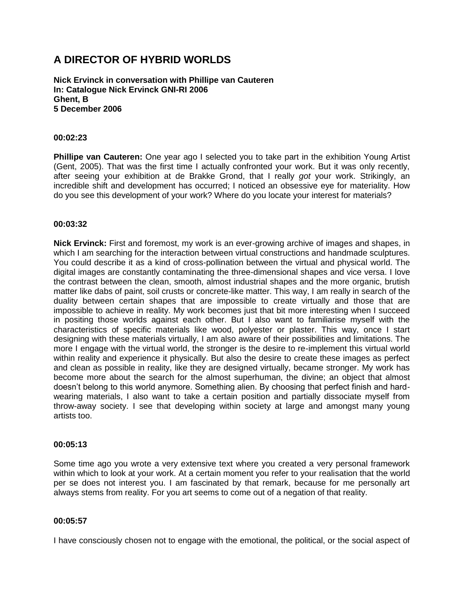# **A DIRECTOR OF HYBRID WORLDS**

**Nick Ervinck in conversation with Phillipe van Cauteren In: Catalogue Nick Ervinck GNI-RI 2006 Ghent, B 5 December 2006**

## **00:02:23**

**Phillipe van Cauteren:** One year ago I selected you to take part in the exhibition Young Artist (Gent, 2005). That was the first time I actually confronted your work. But it was only recently, after seeing your exhibition at de Brakke Grond, that I really *got* your work. Strikingly, an incredible shift and development has occurred; I noticed an obsessive eye for materiality. How do you see this development of your work? Where do you locate your interest for materials?

# **00:03:32**

**Nick Ervinck:** First and foremost, my work is an ever-growing archive of images and shapes, in which I am searching for the interaction between virtual constructions and handmade sculptures. You could describe it as a kind of cross-pollination between the virtual and physical world. The digital images are constantly contaminating the three-dimensional shapes and vice versa. I love the contrast between the clean, smooth, almost industrial shapes and the more organic, brutish matter like dabs of paint, soil crusts or concrete-like matter. This way, I am really in search of the duality between certain shapes that are impossible to create virtually and those that are impossible to achieve in reality. My work becomes just that bit more interesting when I succeed in positing those worlds against each other. But I also want to familiarise myself with the characteristics of specific materials like wood, polyester or plaster. This way, once I start designing with these materials virtually, I am also aware of their possibilities and limitations. The more I engage with the virtual world, the stronger is the desire to re-implement this virtual world within reality and experience it physically. But also the desire to create these images as perfect and clean as possible in reality, like they are designed virtually, became stronger. My work has become more about the search for the almost superhuman, the divine; an object that almost doesn't belong to this world anymore. Something alien. By choosing that perfect finish and hardwearing materials, I also want to take a certain position and partially dissociate myself from throw-away society. I see that developing within society at large and amongst many young artists too.

## **00:05:13**

Some time ago you wrote a very extensive text where you created a very personal framework within which to look at your work. At a certain moment you refer to your realisation that the world per se does not interest you. I am fascinated by that remark, because for me personally art always stems from reality. For you art seems to come out of a negation of that reality.

## **00:05:57**

I have consciously chosen not to engage with the emotional, the political, or the social aspect of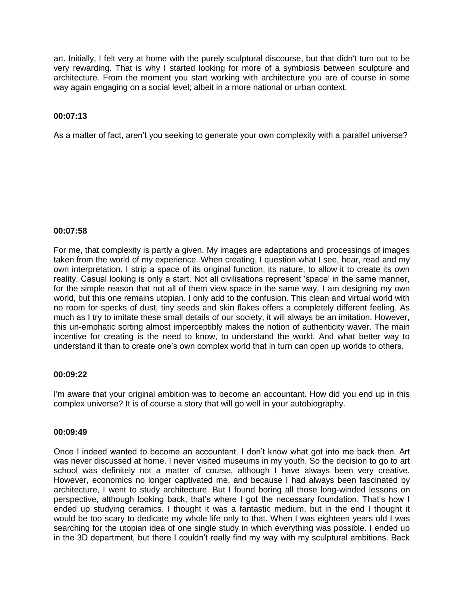art. Initially, I felt very at home with the purely sculptural discourse, but that didn't turn out to be very rewarding. That is why I started looking for more of a symbiosis between sculpture and architecture. From the moment you start working with architecture you are of course in some way again engaging on a social level; albeit in a more national or urban context.

# **00:07:13**

As a matter of fact, aren't you seeking to generate your own complexity with a parallel universe?

## **00:07:58**

For me, that complexity is partly a given. My images are adaptations and processings of images taken from the world of my experience. When creating, I question what I see, hear, read and my own interpretation. I strip a space of its original function, its nature, to allow it to create its own reality. Casual looking is only a start. Not all civilisations represent 'space' in the same manner, for the simple reason that not all of them view space in the same way. I am designing my own world, but this one remains utopian. I only add to the confusion. This clean and virtual world with no room for specks of dust, tiny seeds and skin flakes offers a completely different feeling. As much as I try to imitate these small details of our society, it will always be an imitation. However, this un-emphatic sorting almost imperceptibly makes the notion of authenticity waver. The main incentive for creating is the need to know, to understand the world. And what better way to understand it than to create one's own complex world that in turn can open up worlds to others.

# **00:09:22**

I'm aware that your original ambition was to become an accountant. How did you end up in this complex universe? It is of course a story that will go well in your autobiography.

## **00:09:49**

Once I indeed wanted to become an accountant. I don't know what got into me back then. Art was never discussed at home. I never visited museums in my youth. So the decision to go to art school was definitely not a matter of course, although I have always been very creative. However, economics no longer captivated me, and because I had always been fascinated by architecture, I went to study architecture. But I found boring all those long-winded lessons on perspective, although looking back, that's where I got the necessary foundation. That's how I ended up studying ceramics. I thought it was a fantastic medium, but in the end I thought it would be too scary to dedicate my whole life only to that. When I was eighteen years old I was searching for the utopian idea of one single study in which everything was possible. I ended up in the 3D department, but there I couldn't really find my way with my sculptural ambitions. Back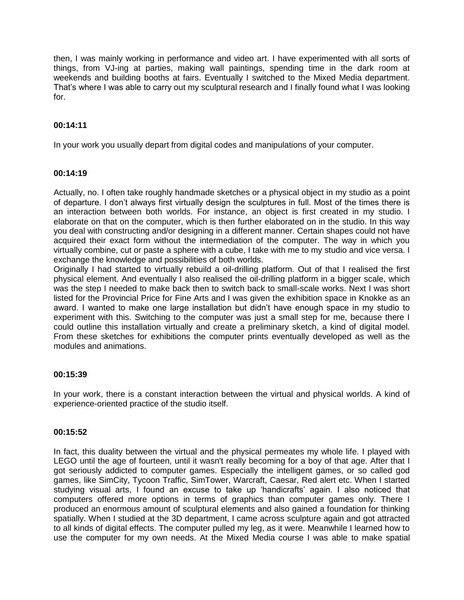then, I was mainly working in performance and video art. I have experimented with all sorts of things, from VJ-ing at parties, making wall paintings, spending time in the dark room at weekends and building booths at fairs. Eventually I switched to the Mixed Media department. That's where I was able to carry out my sculptural research and I finally found what I was looking for.

# **00:14:11**

In your work you usually depart from digital codes and manipulations of your computer.

# **00:14:19**

Actually, no. I often take roughly handmade sketches or a physical object in my studio as a point of departure. I don't always first virtually design the sculptures in full. Most of the times there is an interaction between both worlds. For instance, an object is first created in my studio. I elaborate on that on the computer, which is then further elaborated on in the studio. In this way you deal with constructing and/or designing in a different manner. Certain shapes could not have acquired their exact form without the intermediation of the computer. The way in which you virtually combine, cut or paste a sphere with a cube, I take with me to my studio and vice versa. I exchange the knowledge and possibilities of both worlds.

Originally I had started to virtually rebuild a oil-drilling platform. Out of that I realised the first physical element. And eventually I also realised the oil-drilling platform in a bigger scale, which was the step I needed to make back then to switch back to small-scale works. Next I was short listed for the Provincial Price for Fine Arts and I was given the exhibition space in Knokke as an award. I wanted to make one large installation but didn't have enough space in my studio to experiment with this. Switching to the computer was just a small step for me, because there I could outline this installation virtually and create a preliminary sketch, a kind of digital model. From these sketches for exhibitions the computer prints eventually developed as well as the modules and animations.

# **00:15:39**

In your work, there is a constant interaction between the virtual and physical worlds. A kind of experience-oriented practice of the studio itself.

# **00:15:52**

In fact, this duality between the virtual and the physical permeates my whole life. I played with LEGO until the age of fourteen, until it wasn't really becoming for a boy of that age. After that I got seriously addicted to computer games. Especially the intelligent games, or so called god games, like SimCity, Tycoon Traffic, SimTower, Warcraft, Caesar, Red alert etc. When I started studying visual arts, I found an excuse to take up 'handicrafts' again. I also noticed that computers offered more options in terms of graphics than computer games only. There I produced an enormous amount of sculptural elements and also gained a foundation for thinking spatially. When I studied at the 3D department, I came across sculpture again and got attracted to all kinds of digital effects. The computer pulled my leg, as it were. Meanwhile I learned how to use the computer for my own needs. At the Mixed Media course I was able to make spatial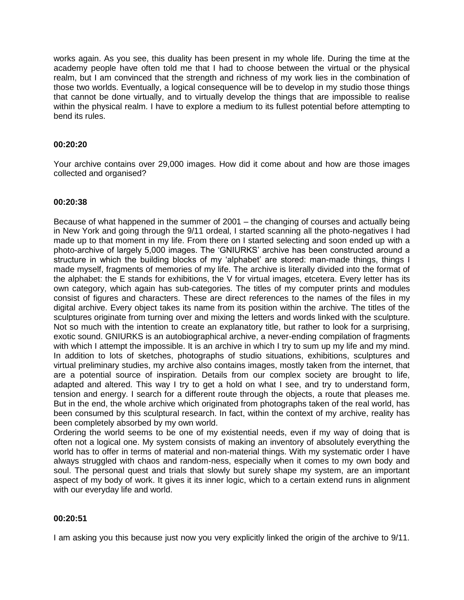works again. As you see, this duality has been present in my whole life. During the time at the academy people have often told me that I had to choose between the virtual or the physical realm, but I am convinced that the strength and richness of my work lies in the combination of those two worlds. Eventually, a logical consequence will be to develop in my studio those things that cannot be done virtually, and to virtually develop the things that are impossible to realise within the physical realm. I have to explore a medium to its fullest potential before attempting to bend its rules.

# **00:20:20**

Your archive contains over 29,000 images. How did it come about and how are those images collected and organised?

## **00:20:38**

Because of what happened in the summer of 2001 – the changing of courses and actually being in New York and going through the 9/11 ordeal, I started scanning all the photo-negatives I had made up to that moment in my life. From there on I started selecting and soon ended up with a photo-archive of largely 5,000 images. The 'GNIURKS' archive has been constructed around a structure in which the building blocks of my 'alphabet' are stored: man-made things, things I made myself, fragments of memories of my life. The archive is literally divided into the format of the alphabet: the E stands for exhibitions, the V for virtual images, etcetera. Every letter has its own category, which again has sub-categories. The titles of my computer prints and modules consist of figures and characters. These are direct references to the names of the files in my digital archive. Every object takes its name from its position within the archive. The titles of the sculptures originate from turning over and mixing the letters and words linked with the sculpture. Not so much with the intention to create an explanatory title, but rather to look for a surprising, exotic sound. GNIURKS is an autobiographical archive, a never-ending compilation of fragments with which I attempt the impossible. It is an archive in which I try to sum up my life and my mind. In addition to lots of sketches, photographs of studio situations, exhibitions, sculptures and virtual preliminary studies, my archive also contains images, mostly taken from the internet, that are a potential source of inspiration. Details from our complex society are brought to life, adapted and altered. This way I try to get a hold on what I see, and try to understand form, tension and energy. I search for a different route through the objects, a route that pleases me. But in the end, the whole archive which originated from photographs taken of the real world, has been consumed by this sculptural research. In fact, within the context of my archive, reality has been completely absorbed by my own world.

Ordering the world seems to be one of my existential needs, even if my way of doing that is often not a logical one. My system consists of making an inventory of absolutely everything the world has to offer in terms of material and non-material things. With my systematic order I have always struggled with chaos and random-ness, especially when it comes to my own body and soul. The personal quest and trials that slowly but surely shape my system, are an important aspect of my body of work. It gives it its inner logic, which to a certain extend runs in alignment with our everyday life and world.

# **00:20:51**

I am asking you this because just now you very explicitly linked the origin of the archive to 9/11.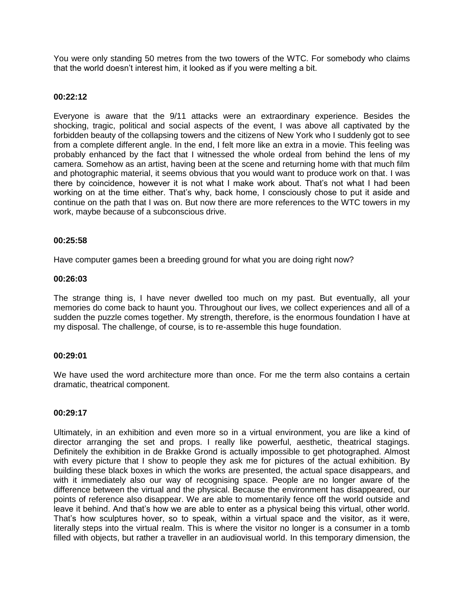You were only standing 50 metres from the two towers of the WTC. For somebody who claims that the world doesn't interest him, it looked as if you were melting a bit.

#### **00:22:12**

Everyone is aware that the 9/11 attacks were an extraordinary experience. Besides the shocking, tragic, political and social aspects of the event, I was above all captivated by the forbidden beauty of the collapsing towers and the citizens of New York who I suddenly got to see from a complete different angle. In the end, I felt more like an extra in a movie. This feeling was probably enhanced by the fact that I witnessed the whole ordeal from behind the lens of my camera. Somehow as an artist, having been at the scene and returning home with that much film and photographic material, it seems obvious that you would want to produce work on that. I was there by coincidence, however it is not what I make work about. That's not what I had been working on at the time either. That's why, back home, I consciously chose to put it aside and continue on the path that I was on. But now there are more references to the WTC towers in my work, maybe because of a subconscious drive.

#### **00:25:58**

Have computer games been a breeding ground for what you are doing right now?

#### **00:26:03**

The strange thing is, I have never dwelled too much on my past. But eventually, all your memories do come back to haunt you. Throughout our lives, we collect experiences and all of a sudden the puzzle comes together. My strength, therefore, is the enormous foundation I have at my disposal. The challenge, of course, is to re-assemble this huge foundation.

# **00:29:01**

We have used the word architecture more than once. For me the term also contains a certain dramatic, theatrical component.

# **00:29:17**

Ultimately, in an exhibition and even more so in a virtual environment, you are like a kind of director arranging the set and props. I really like powerful, aesthetic, theatrical stagings. Definitely the exhibition in de Brakke Grond is actually impossible to get photographed. Almost with every picture that I show to people they ask me for pictures of the actual exhibition. By building these black boxes in which the works are presented, the actual space disappears, and with it immediately also our way of recognising space. People are no longer aware of the difference between the virtual and the physical. Because the environment has disappeared, our points of reference also disappear. We are able to momentarily fence off the world outside and leave it behind. And that's how we are able to enter as a physical being this virtual, other world. That's how sculptures hover, so to speak, within a virtual space and the visitor, as it were, literally steps into the virtual realm. This is where the visitor no longer is a consumer in a tomb filled with objects, but rather a traveller in an audiovisual world. In this temporary dimension, the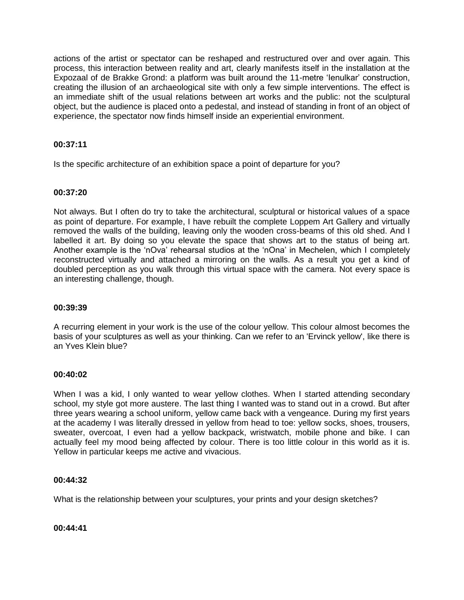actions of the artist or spectator can be reshaped and restructured over and over again. This process, this interaction between reality and art, clearly manifests itself in the installation at the Expozaal of de Brakke Grond: a platform was built around the 11-metre 'Ienulkar' construction, creating the illusion of an archaeological site with only a few simple interventions. The effect is an immediate shift of the usual relations between art works and the public: not the sculptural object, but the audience is placed onto a pedestal, and instead of standing in front of an object of experience, the spectator now finds himself inside an experiential environment.

# **00:37:11**

Is the specific architecture of an exhibition space a point of departure for you?

# **00:37:20**

Not always. But I often do try to take the architectural, sculptural or historical values of a space as point of departure. For example, I have rebuilt the complete Loppem Art Gallery and virtually removed the walls of the building, leaving only the wooden cross-beams of this old shed. And I labelled it art. By doing so you elevate the space that shows art to the status of being art. Another example is the 'nOva' rehearsal studios at the 'nOna' in Mechelen, which I completely reconstructed virtually and attached a mirroring on the walls. As a result you get a kind of doubled perception as you walk through this virtual space with the camera. Not every space is an interesting challenge, though.

## **00:39:39**

A recurring element in your work is the use of the colour yellow. This colour almost becomes the basis of your sculptures as well as your thinking. Can we refer to an 'Ervinck yellow', like there is an Yves Klein blue?

# **00:40:02**

When I was a kid, I only wanted to wear yellow clothes. When I started attending secondary school, my style got more austere. The last thing I wanted was to stand out in a crowd. But after three years wearing a school uniform, yellow came back with a vengeance. During my first years at the academy I was literally dressed in yellow from head to toe: yellow socks, shoes, trousers, sweater, overcoat, I even had a yellow backpack, wristwatch, mobile phone and bike. I can actually feel my mood being affected by colour. There is too little colour in this world as it is. Yellow in particular keeps me active and vivacious.

# **00:44:32**

What is the relationship between your sculptures, your prints and your design sketches?

## **00:44:41**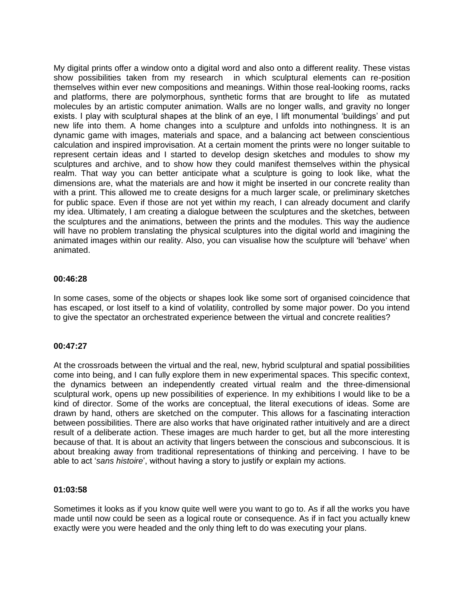My digital prints offer a window onto a digital word and also onto a different reality. These vistas show possibilities taken from my research in which sculptural elements can re-position themselves within ever new compositions and meanings. Within those real-looking rooms, racks and platforms, there are polymorphous, synthetic forms that are brought to life as mutated molecules by an artistic computer animation. Walls are no longer walls, and gravity no longer exists. I play with sculptural shapes at the blink of an eye, I lift monumental 'buildings' and put new life into them. A home changes into a sculpture and unfolds into nothingness. It is an dynamic game with images, materials and space, and a balancing act between conscientious calculation and inspired improvisation. At a certain moment the prints were no longer suitable to represent certain ideas and I started to develop design sketches and modules to show my sculptures and archive, and to show how they could manifest themselves within the physical realm. That way you can better anticipate what a sculpture is going to look like, what the dimensions are, what the materials are and how it might be inserted in our concrete reality than with a print. This allowed me to create designs for a much larger scale, or preliminary sketches for public space. Even if those are not yet within my reach, I can already document and clarify my idea. Ultimately, I am creating a dialogue between the sculptures and the sketches, between the sculptures and the animations, between the prints and the modules. This way the audience will have no problem translating the physical sculptures into the digital world and imagining the animated images within our reality. Also, you can visualise how the sculpture will 'behave' when animated.

# **00:46:28**

In some cases, some of the objects or shapes look like some sort of organised coincidence that has escaped, or lost itself to a kind of volatility, controlled by some major power. Do you intend to give the spectator an orchestrated experience between the virtual and concrete realities?

## **00:47:27**

At the crossroads between the virtual and the real, new, hybrid sculptural and spatial possibilities come into being, and I can fully explore them in new experimental spaces. This specific context, the dynamics between an independently created virtual realm and the three-dimensional sculptural work, opens up new possibilities of experience. In my exhibitions I would like to be a kind of director. Some of the works are conceptual, the literal executions of ideas. Some are drawn by hand, others are sketched on the computer. This allows for a fascinating interaction between possibilities. There are also works that have originated rather intuitively and are a direct result of a deliberate action. These images are much harder to get, but all the more interesting because of that. It is about an activity that lingers between the conscious and subconscious. It is about breaking away from traditional representations of thinking and perceiving. I have to be able to act '*sans histoire*', without having a story to justify or explain my actions.

## **01:03:58**

Sometimes it looks as if you know quite well were you want to go to. As if all the works you have made until now could be seen as a logical route or consequence. As if in fact you actually knew exactly were you were headed and the only thing left to do was executing your plans.